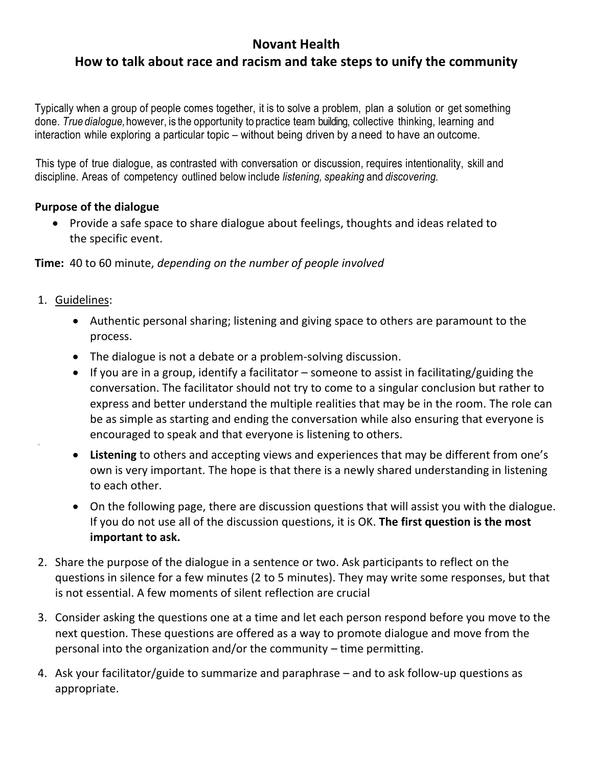# **Novant Health**

# **How to talk about race and racism and take steps to unify the community**

Typically when a group of people comes together, it is to solve a problem, plan a solution or get something done. *True dialogue,*however, is the opportunity to practice team building, collective thinking, learning and interaction while exploring a particular topic – without being driven by a need to have an outcome.

This type of true dialogue, as contrasted with conversation or discussion, requires intentionality, skill and discipline. Areas of competency outlined below include *listening, speaking* and *discovering.*

#### **Purpose of the dialogue**

• Provide a safe space to share dialogue about feelings, thoughts and ideas related to the specific event.

**Time:** 40 to 60 minute, *depending on the number of people involved*

1. Guidelines:

o

- Authentic personal sharing; listening and giving space to others are paramount to the process.
- The dialogue is not a debate or a problem-solving discussion.
- If you are in a group, identify a facilitator someone to assist in facilitating/guiding the conversation. The facilitator should not try to come to a singular conclusion but rather to express and better understand the multiple realities that may be in the room. The role can be as simple as starting and ending the conversation while also ensuring that everyone is encouraged to speak and that everyone is listening to others.
- **Listening** to others and accepting views and experiences that may be different from one's own is very important. The hope is that there is a newly shared understanding in listening to each other.
- On the following page, there are discussion questions that will assist you with the dialogue. If you do not use all of the discussion questions, it is OK. **The first question is the most important to ask.**
- 2. Share the purpose of the dialogue in a sentence or two. Ask participants to reflect on the questions in silence for a few minutes (2 to 5 minutes). They may write some responses, but that is not essential. A few moments of silent reflection are crucial
- 3. Consider asking the questions one at a time and let each person respond before you move to the next question. These questions are offered as a way to promote dialogue and move from the personal into the organization and/or the community – time permitting.
- 4. Ask your facilitator/guide to summarize and paraphrase and to ask follow-up questions as appropriate.